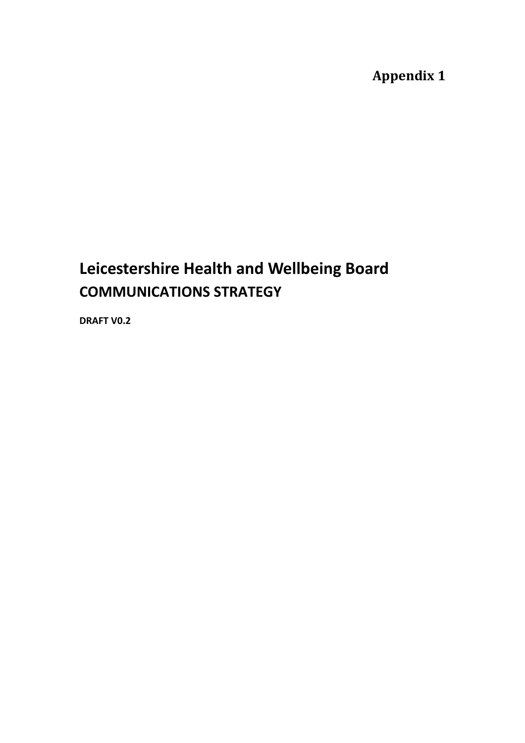**Appendix 1** 

# **Leicestershire Health and Wellbeing Board COMMUNICATIONS STRATEGY**

**DRAFT V0.2**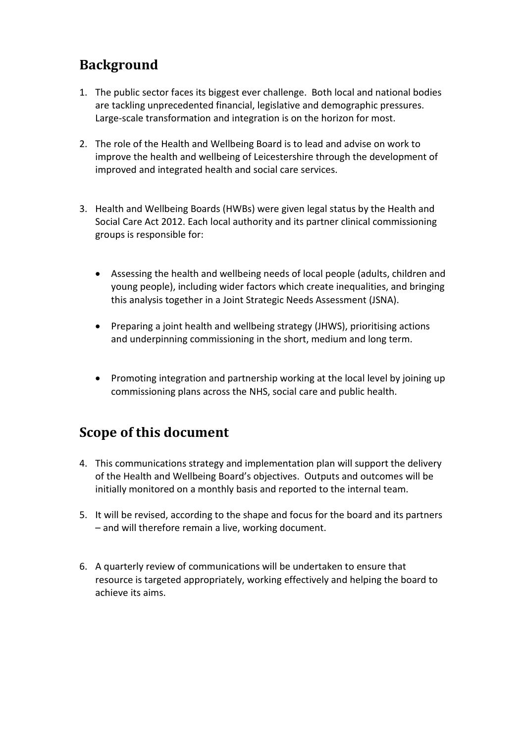## **Background**

- 1. The public sector faces its biggest ever challenge. Both local and national bodies are tackling unprecedented financial, legislative and demographic pressures. Large-scale transformation and integration is on the horizon for most.
- 2. The role of the Health and Wellbeing Board is to lead and advise on work to improve the health and wellbeing of Leicestershire through the development of improved and integrated health and social care services.
- 3. Health and Wellbeing Boards (HWBs) were given legal status by the Health and Social Care Act 2012. Each local authority and its partner clinical commissioning groups is responsible for:
	- Assessing the health and wellbeing needs of local people (adults, children and young people), including wider factors which create inequalities, and bringing this analysis together in a Joint Strategic Needs Assessment (JSNA).
	- Preparing a joint health and wellbeing strategy (JHWS), prioritising actions and underpinning commissioning in the short, medium and long term.
	- Promoting integration and partnership working at the local level by joining up commissioning plans across the NHS, social care and public health.

## **Scope of this document**

- 4. This communications strategy and implementation plan will support the delivery of the Health and Wellbeing Board's objectives. Outputs and outcomes will be initially monitored on a monthly basis and reported to the internal team.
- 5. It will be revised, according to the shape and focus for the board and its partners – and will therefore remain a live, working document.
- 6. A quarterly review of communications will be undertaken to ensure that resource is targeted appropriately, working effectively and helping the board to achieve its aims.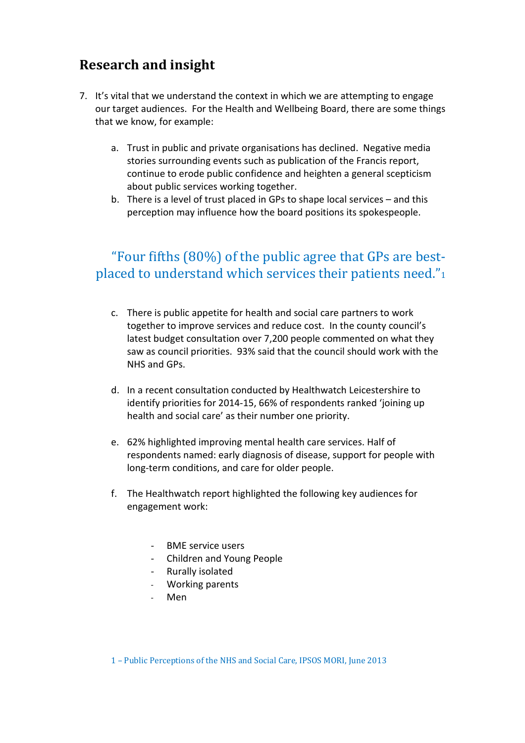## **Research and insight**

- 7. It's vital that we understand the context in which we are attempting to engage our target audiences. For the Health and Wellbeing Board, there are some things that we know, for example:
	- a. Trust in public and private organisations has declined. Negative media stories surrounding events such as publication of the Francis report, continue to erode public confidence and heighten a general scepticism about public services working together.
	- b. There is a level of trust placed in GPs to shape local services and this perception may influence how the board positions its spokespeople.

### "Four fifths (80%) of the public agree that GPs are bestplaced to understand which services their patients need."<sup>1</sup>

- c. There is public appetite for health and social care partners to work together to improve services and reduce cost. In the county council's latest budget consultation over 7,200 people commented on what they saw as council priorities. 93% said that the council should work with the NHS and GPs.
- d. In a recent consultation conducted by Healthwatch Leicestershire to identify priorities for 2014-15, 66% of respondents ranked 'joining up health and social care' as their number one priority.
- e. 62% highlighted improving mental health care services. Half of respondents named: early diagnosis of disease, support for people with long-term conditions, and care for older people.
- f. The Healthwatch report highlighted the following key audiences for engagement work:
	- BME service users
	- Children and Young People
	- Rurally isolated
	- Working parents
	- Men

1 – Public Perceptions of the NHS and Social Care, IPSOS MORI, June 2013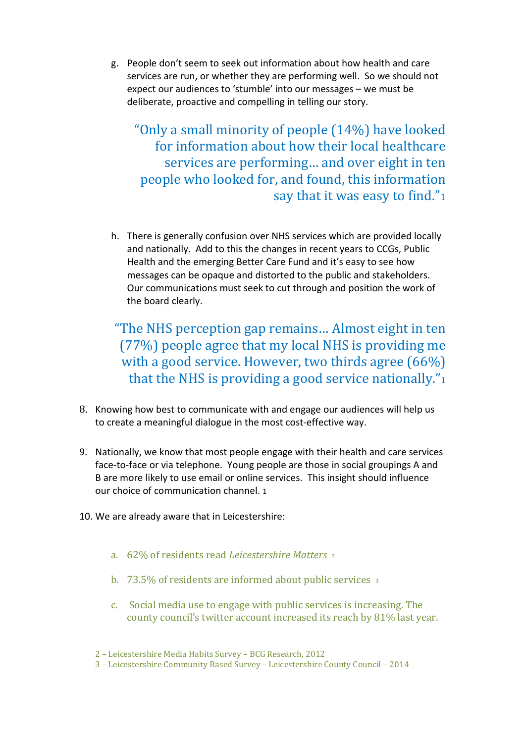g. People don't seem to seek out information about how health and care services are run, or whether they are performing well. So we should not expect our audiences to 'stumble' into our messages – we must be deliberate, proactive and compelling in telling our story.

"Only a small minority of people (14%) have looked for information about how their local healthcare services are performing… and over eight in ten people who looked for, and found, this information say that it was easy to find."<sup>1</sup>

h. There is generally confusion over NHS services which are provided locally and nationally. Add to this the changes in recent years to CCGs, Public Health and the emerging Better Care Fund and it's easy to see how messages can be opaque and distorted to the public and stakeholders. Our communications must seek to cut through and position the work of the board clearly.

"The NHS perception gap remains… Almost eight in ten (77%) people agree that my local NHS is providing me with a good service. However, two thirds agree (66%) that the NHS is providing a good service nationally."<sup>1</sup>

- 8. Knowing how best to communicate with and engage our audiences will help us to create a meaningful dialogue in the most cost-effective way.
- 9. Nationally, we know that most people engage with their health and care services face-to-face or via telephone. Young people are those in social groupings A and B are more likely to use email or online services. This insight should influence our choice of communication channel. 1
- 10. We are already aware that in Leicestershire:
	- a. 62% of residents read *Leicestershire Matters* <sup>2</sup>
	- b. 73.5% of residents are informed about public services 3
	- c. Social media use to engage with public services is increasing. The county council's twitter account increased its reach by 81% last year.

2 – Leicestershire Media Habits Survey – BCG Research, 2012

3 – Leicestershire Community Based Survey – Leicestershire County Council – 2014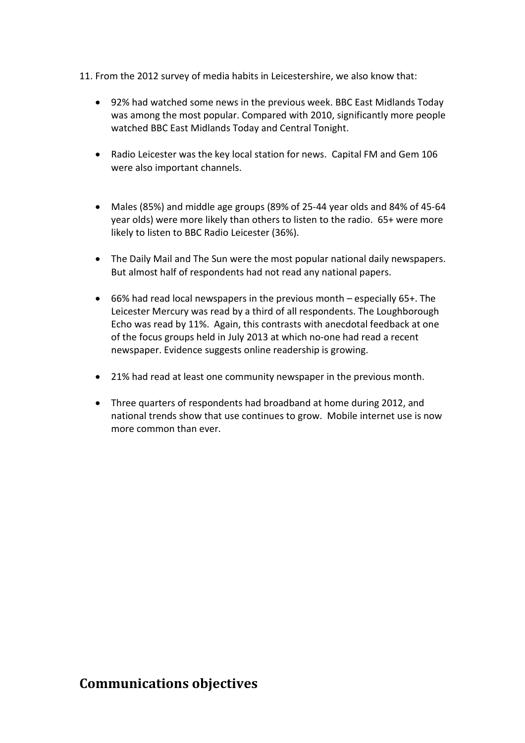- 11. From the 2012 survey of media habits in Leicestershire, we also know that:
	- 92% had watched some news in the previous week. BBC East Midlands Today was among the most popular. Compared with 2010, significantly more people watched BBC East Midlands Today and Central Tonight.
	- Radio Leicester was the key local station for news. Capital FM and Gem 106 were also important channels.
	- Males (85%) and middle age groups (89% of 25-44 year olds and 84% of 45-64 year olds) were more likely than others to listen to the radio. 65+ were more likely to listen to BBC Radio Leicester (36%).
	- The Daily Mail and The Sun were the most popular national daily newspapers. But almost half of respondents had not read any national papers.
	- 66% had read local newspapers in the previous month especially 65+. The Leicester Mercury was read by a third of all respondents. The Loughborough Echo was read by 11%. Again, this contrasts with anecdotal feedback at one of the focus groups held in July 2013 at which no-one had read a recent newspaper. Evidence suggests online readership is growing.
	- 21% had read at least one community newspaper in the previous month.
	- Three quarters of respondents had broadband at home during 2012, and national trends show that use continues to grow. Mobile internet use is now more common than ever.

#### **Communications objectives**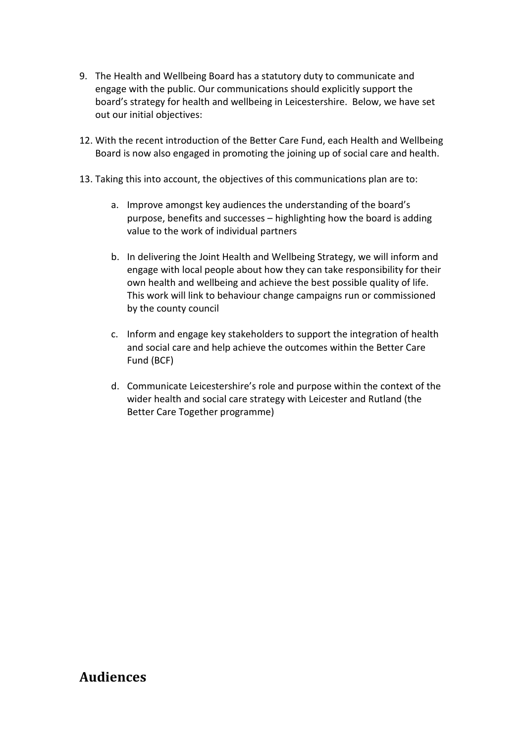- 9. The Health and Wellbeing Board has a statutory duty to communicate and engage with the public. Our communications should explicitly support the board's strategy for health and wellbeing in Leicestershire. Below, we have set out our initial objectives:
- 12. With the recent introduction of the Better Care Fund, each Health and Wellbeing Board is now also engaged in promoting the joining up of social care and health.
- 13. Taking this into account, the objectives of this communications plan are to:
	- a. Improve amongst key audiences the understanding of the board's purpose, benefits and successes – highlighting how the board is adding value to the work of individual partners
	- b. In delivering the Joint Health and Wellbeing Strategy, we will inform and engage with local people about how they can take responsibility for their own health and wellbeing and achieve the best possible quality of life. This work will link to behaviour change campaigns run or commissioned by the county council
	- c. Inform and engage key stakeholders to support the integration of health and social care and help achieve the outcomes within the Better Care Fund (BCF)
	- d. Communicate Leicestershire's role and purpose within the context of the wider health and social care strategy with Leicester and Rutland (the Better Care Together programme)

#### **Audiences**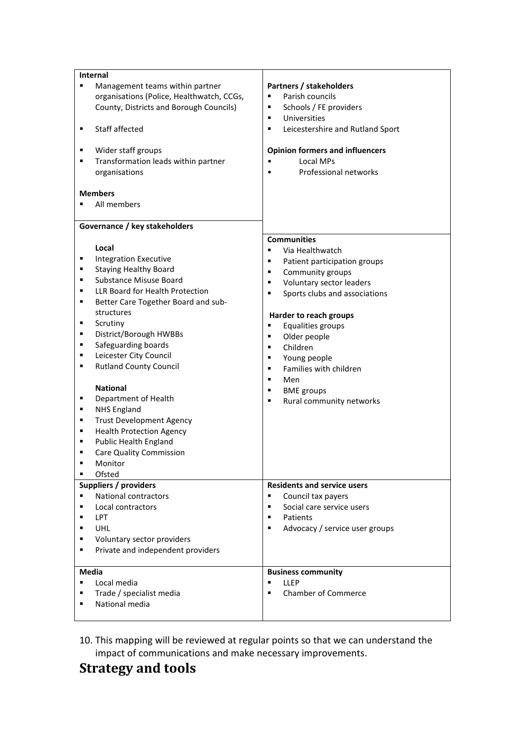| <b>Internal</b>                                                                   |                                             |
|-----------------------------------------------------------------------------------|---------------------------------------------|
| Management teams within partner<br>٠<br>organisations (Police, Healthwatch, CCGs, | Partners / stakeholders<br>Parish councils  |
|                                                                                   | ٠                                           |
| County, Districts and Borough Councils)                                           | Schools / FE providers<br>Universities<br>٠ |
|                                                                                   |                                             |
| Staff affected<br>٠                                                               | Leicestershire and Rutland Sport<br>٠       |
| Wider staff groups<br>٠                                                           | <b>Opinion formers and influencers</b>      |
| Transformation leads within partner<br>٠                                          | Local MPs                                   |
| organisations                                                                     | Professional networks<br>$\bullet$          |
|                                                                                   |                                             |
| <b>Members</b>                                                                    |                                             |
| All members<br>٠                                                                  |                                             |
|                                                                                   |                                             |
| Governance / key stakeholders                                                     |                                             |
|                                                                                   | <b>Communities</b>                          |
| Local                                                                             | Via Healthwatch<br>٠                        |
| <b>Integration Executive</b><br>٠                                                 | Patient participation groups<br>п           |
| <b>Staying Healthy Board</b><br>٠                                                 | Community groups<br>٠                       |
| <b>Substance Misuse Board</b><br>٠                                                | Voluntary sector leaders<br>٠               |
| LLR Board for Health Protection<br>٠                                              | Sports clubs and associations<br>٠          |
| Better Care Together Board and sub-<br>٠                                          |                                             |
| structures                                                                        | Harder to reach groups                      |
| Scrutiny<br>٠                                                                     | Equalities groups<br>٠                      |
| District/Borough HWBBs<br>٠                                                       | Older people<br>٠                           |
| Safeguarding boards<br>٠                                                          | Children<br>٠                               |
| Leicester City Council<br>٠                                                       | Young people<br>٠                           |
| <b>Rutland County Council</b><br>٠                                                | Families with children<br>٠                 |
|                                                                                   | $\blacksquare$<br>Men                       |
| <b>National</b>                                                                   | <b>BME</b> groups<br>٠                      |
| Department of Health<br>٠                                                         | Rural community networks<br>٠               |
| <b>NHS England</b><br>٠                                                           |                                             |
| <b>Trust Development Agency</b><br>٠                                              |                                             |
| <b>Health Protection Agency</b><br>٠                                              |                                             |
| <b>Public Health England</b><br>٠                                                 |                                             |
| <b>Care Quality Commission</b><br>٠                                               |                                             |
| Monitor                                                                           |                                             |
| Ofsted<br>٠                                                                       |                                             |
| Suppliers / providers                                                             | <b>Residents and service users</b>          |
| <b>National contractors</b><br>٠                                                  | ٠<br>Council tax payers                     |
| Local contractors<br>٠                                                            | Social care service users<br>٠              |
| LPT<br>٠                                                                          | Patients<br>٠                               |
| UHL<br>٠                                                                          | Advocacy / service user groups<br>٠         |
| Voluntary sector providers<br>٠                                                   |                                             |
| Private and independent providers<br>٠                                            |                                             |
|                                                                                   |                                             |
| Media                                                                             | <b>Business community</b>                   |
| Local media<br>٠                                                                  | <b>LLEP</b><br>٠                            |
| Trade / specialist media<br>٠                                                     | <b>Chamber of Commerce</b><br>п             |
| National media                                                                    |                                             |
|                                                                                   |                                             |

10. This mapping will be reviewed at regular points so that we can understand the impact of communications and make necessary improvements.

## **Strategy and tools**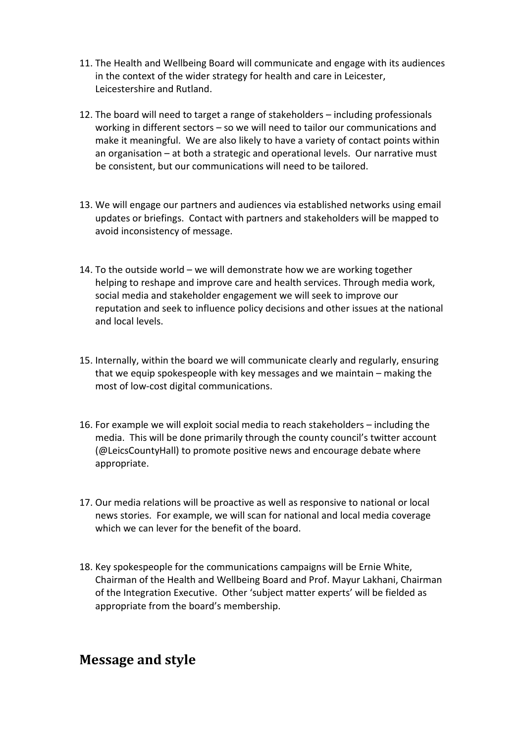- 11. The Health and Wellbeing Board will communicate and engage with its audiences in the context of the wider strategy for health and care in Leicester, Leicestershire and Rutland.
- 12. The board will need to target a range of stakeholders including professionals working in different sectors – so we will need to tailor our communications and make it meaningful. We are also likely to have a variety of contact points within an organisation – at both a strategic and operational levels. Our narrative must be consistent, but our communications will need to be tailored.
- 13. We will engage our partners and audiences via established networks using email updates or briefings. Contact with partners and stakeholders will be mapped to avoid inconsistency of message.
- 14. To the outside world we will demonstrate how we are working together helping to reshape and improve care and health services. Through media work, social media and stakeholder engagement we will seek to improve our reputation and seek to influence policy decisions and other issues at the national and local levels.
- 15. Internally, within the board we will communicate clearly and regularly, ensuring that we equip spokespeople with key messages and we maintain – making the most of low-cost digital communications.
- 16. For example we will exploit social media to reach stakeholders including the media. This will be done primarily through the county council's twitter account (@LeicsCountyHall) to promote positive news and encourage debate where appropriate.
- 17. Our media relations will be proactive as well as responsive to national or local news stories. For example, we will scan for national and local media coverage which we can lever for the benefit of the board.
- 18. Key spokespeople for the communications campaigns will be Ernie White, Chairman of the Health and Wellbeing Board and Prof. Mayur Lakhani, Chairman of the Integration Executive. Other 'subject matter experts' will be fielded as appropriate from the board's membership.

#### **Message and style**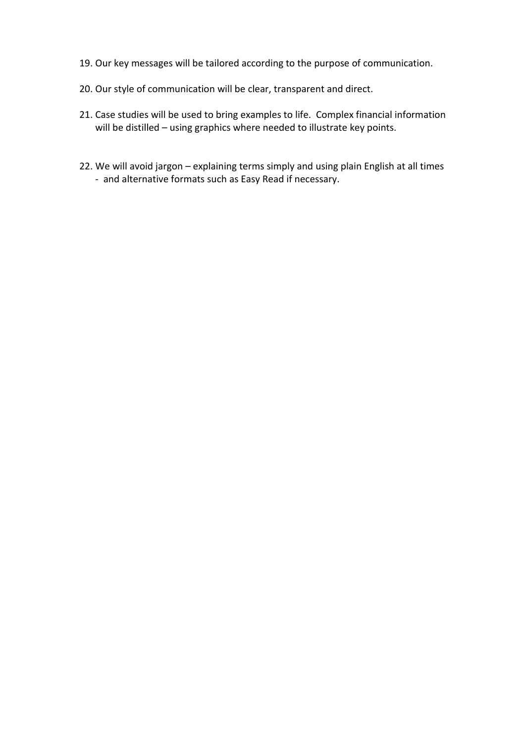- 19. Our key messages will be tailored according to the purpose of communication.
- 20. Our style of communication will be clear, transparent and direct.
- 21. Case studies will be used to bring examples to life. Complex financial information will be distilled – using graphics where needed to illustrate key points.
- 22. We will avoid jargon explaining terms simply and using plain English at all times - and alternative formats such as Easy Read if necessary.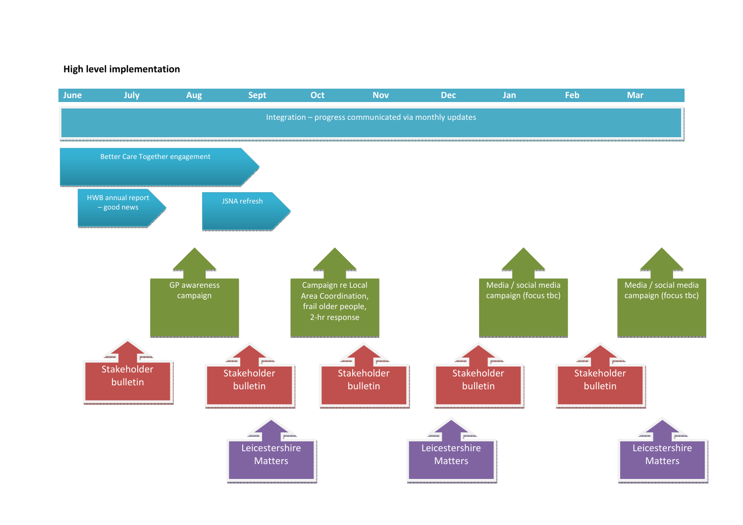#### **High level implementation**

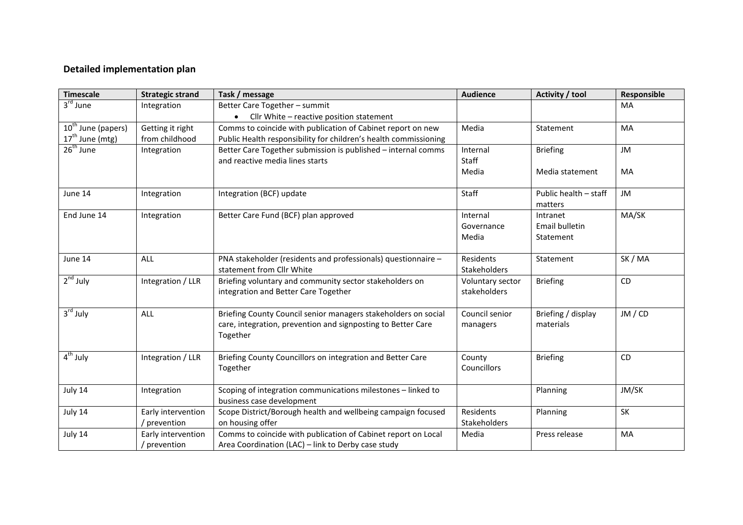#### **Detailed implementation plan**

| <b>Timescale</b>               | <b>Strategic strand</b> | Task / message                                                   | <b>Audience</b>  | Activity / tool       | Responsible |
|--------------------------------|-------------------------|------------------------------------------------------------------|------------------|-----------------------|-------------|
| 3 <sup>rd</sup> June           | Integration             | Better Care Together - summit                                    |                  |                       | MA          |
|                                |                         | • Cllr White - reactive position statement                       |                  |                       |             |
| 10 <sup>th</sup> June (papers) | Getting it right        | Comms to coincide with publication of Cabinet report on new      | Media            | Statement             | MA          |
| 17 <sup>th</sup> June (mtg)    | from childhood          | Public Health responsibility for children's health commissioning |                  |                       |             |
| 26 <sup>th</sup> June          | Integration             | Better Care Together submission is published - internal comms    | Internal         | <b>Briefing</b>       | JM          |
|                                |                         | and reactive media lines starts                                  | Staff            |                       |             |
|                                |                         |                                                                  | Media            | Media statement       | MA          |
| June 14                        | Integration             | Integration (BCF) update                                         | Staff            | Public health - staff | JM          |
|                                |                         |                                                                  |                  | matters               |             |
| End June 14                    | Integration             | Better Care Fund (BCF) plan approved                             | Internal         | Intranet              | MA/SK       |
|                                |                         |                                                                  | Governance       | Email bulletin        |             |
|                                |                         |                                                                  | Media            | Statement             |             |
| June 14                        | ALL                     | PNA stakeholder (residents and professionals) questionnaire -    | Residents        | Statement             | SK / MA     |
|                                |                         | statement from Cllr White                                        | Stakeholders     |                       |             |
| $2nd$ July                     | Integration / LLR       | Briefing voluntary and community sector stakeholders on          | Voluntary sector | <b>Briefing</b>       | CD          |
|                                |                         | integration and Better Care Together                             | stakeholders     |                       |             |
| 3 <sup>rd</sup> July           | ALL                     | Briefing County Council senior managers stakeholders on social   | Council senior   | Briefing / display    | JM / CD     |
|                                |                         | care, integration, prevention and signposting to Better Care     | managers         | materials             |             |
|                                |                         | Together                                                         |                  |                       |             |
| $4th$ July                     | Integration / LLR       | Briefing County Councillors on integration and Better Care       | County           | <b>Briefing</b>       | CD          |
|                                |                         | Together                                                         | Councillors      |                       |             |
| July 14                        | Integration             | Scoping of integration communications milestones - linked to     |                  | Planning              | JM/SK       |
|                                |                         | business case development                                        |                  |                       |             |
| July 14                        | Early intervention      | Scope District/Borough health and wellbeing campaign focused     | Residents        | Planning              | SK          |
|                                | / prevention            | on housing offer                                                 | Stakeholders     |                       |             |
| July 14                        | Early intervention      | Comms to coincide with publication of Cabinet report on Local    | Media            | Press release         | MA          |
|                                | / prevention            | Area Coordination (LAC) - link to Derby case study               |                  |                       |             |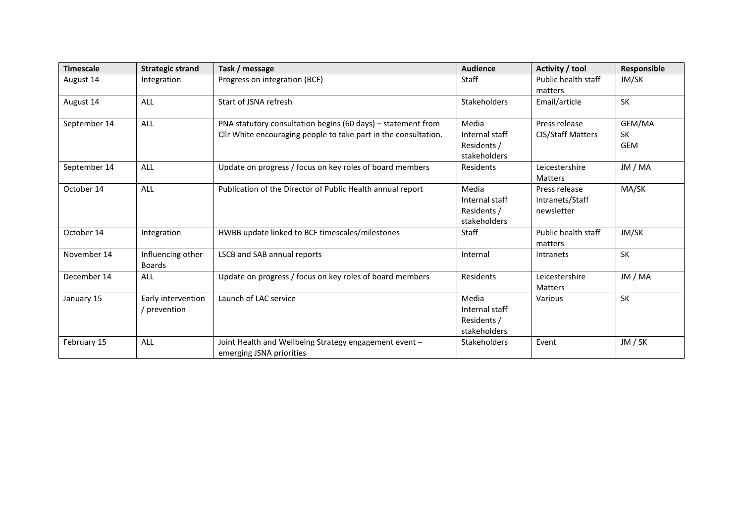| <b>Timescale</b> | <b>Strategic strand</b>            | Task / message                                                                                                                  | <b>Audience</b>                                        | Activity / tool                                | Responsible                       |
|------------------|------------------------------------|---------------------------------------------------------------------------------------------------------------------------------|--------------------------------------------------------|------------------------------------------------|-----------------------------------|
| August 14        | Integration                        | Progress on integration (BCF)                                                                                                   | Staff                                                  | Public health staff<br>matters                 | JM/SK                             |
| August 14        | ALL                                | Start of JSNA refresh                                                                                                           | <b>Stakeholders</b>                                    | Email/article                                  | SK                                |
| September 14     | ALL                                | PNA statutory consultation begins (60 days) - statement from<br>Cllr White encouraging people to take part in the consultation. | Media<br>Internal staff<br>Residents /<br>stakeholders | Press release<br><b>CIS/Staff Matters</b>      | GEM/MA<br><b>SK</b><br><b>GEM</b> |
| September 14     | ALL                                | Update on progress / focus on key roles of board members                                                                        | <b>Residents</b>                                       | Leicestershire<br><b>Matters</b>               | JM / MA                           |
| October 14       | ALL                                | Publication of the Director of Public Health annual report                                                                      | Media<br>Internal staff<br>Residents /<br>stakeholders | Press release<br>Intranets/Staff<br>newsletter | MA/SK                             |
| October 14       | Integration                        | HWBB update linked to BCF timescales/milestones                                                                                 | Staff                                                  | Public health staff<br>matters                 | JM/SK                             |
| November 14      | Influencing other<br><b>Boards</b> | <b>LSCB and SAB annual reports</b>                                                                                              | Internal                                               | Intranets                                      | <b>SK</b>                         |
| December 14      | <b>ALL</b>                         | Update on progress / focus on key roles of board members                                                                        | Residents                                              | Leicestershire<br><b>Matters</b>               | JM / MA                           |
| January 15       | Early intervention<br>prevention   | Launch of LAC service                                                                                                           | Media<br>Internal staff<br>Residents /<br>stakeholders | Various                                        | <b>SK</b>                         |
| February 15      | ALL                                | Joint Health and Wellbeing Strategy engagement event -<br>emerging JSNA priorities                                              | <b>Stakeholders</b>                                    | Event                                          | JM / SK                           |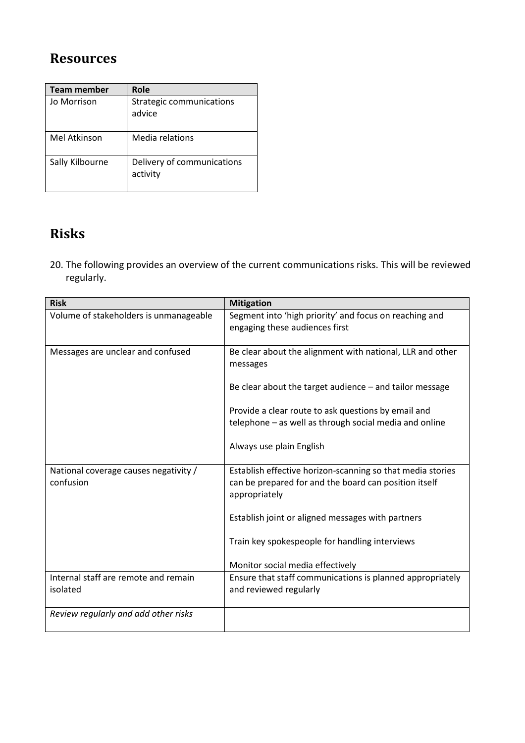## **Resources**

| <b>Team member</b> | Role                                   |
|--------------------|----------------------------------------|
| Jo Morrison        | Strategic communications<br>advice     |
| Mel Atkinson       | Media relations                        |
| Sally Kilbourne    | Delivery of communications<br>activity |

## **Risks**

20. The following provides an overview of the current communications risks. This will be reviewed regularly.

| <b>Risk</b>                                        | <b>Mitigation</b>                                                                                                                    |
|----------------------------------------------------|--------------------------------------------------------------------------------------------------------------------------------------|
| Volume of stakeholders is unmanageable             | Segment into 'high priority' and focus on reaching and<br>engaging these audiences first                                             |
|                                                    |                                                                                                                                      |
| Messages are unclear and confused                  | Be clear about the alignment with national, LLR and other<br>messages                                                                |
|                                                    | Be clear about the target audience $-$ and tailor message                                                                            |
|                                                    | Provide a clear route to ask questions by email and                                                                                  |
|                                                    | telephone - as well as through social media and online                                                                               |
|                                                    | Always use plain English                                                                                                             |
| National coverage causes negativity /<br>confusion | Establish effective horizon-scanning so that media stories<br>can be prepared for and the board can position itself<br>appropriately |
|                                                    | Establish joint or aligned messages with partners                                                                                    |
|                                                    | Train key spokespeople for handling interviews                                                                                       |
|                                                    | Monitor social media effectively                                                                                                     |
| Internal staff are remote and remain<br>isolated   | Ensure that staff communications is planned appropriately<br>and reviewed regularly                                                  |
| Review regularly and add other risks               |                                                                                                                                      |